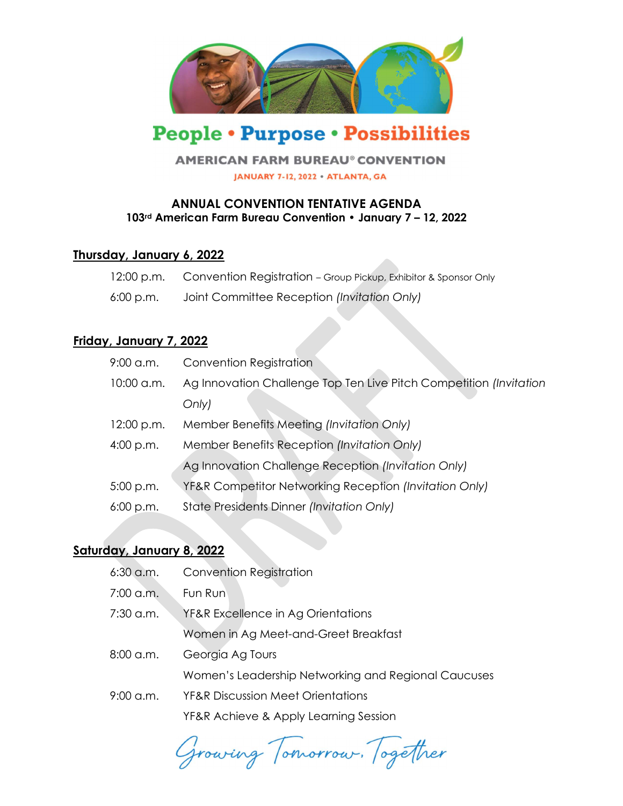

# **People • Purpose • Possibilities**

#### **AMERICAN FARM BUREAU<sup>®</sup> CONVENTION**

JANUARY 7-12, 2022 · ATLANTA, GA

## ANNUAL CONVENTION TENTATIVE AGENDA 103rd American Farm Bureau Convention • January 7 – 12, 2022

## Thursday, January 6, 2022

| 12:00 p.m. | Convention Registration - Group Pickup, Exhibitor & Sponsor Only |
|------------|------------------------------------------------------------------|
| 6:00 p.m.  | Joint Committee Reception (Invitation Only)                      |

# Friday, January 7, 2022

| $10:00$ a.m.<br>Only)<br>Member Benefits Meeting (Invitation Only)<br>12:00 p.m.<br>Member Benefits Reception (Invitation Only)<br>4:00 p.m.<br>Ag Innovation Challenge Reception (Invitation Only)<br>YF&R Competitor Networking Reception (Invitation Only)<br>$5:00$ p.m.<br>State Presidents Dinner (Invitation Only)<br>$6:00$ p.m. | $9:00$ a.m. | <b>Convention Registration</b>                                     |
|------------------------------------------------------------------------------------------------------------------------------------------------------------------------------------------------------------------------------------------------------------------------------------------------------------------------------------------|-------------|--------------------------------------------------------------------|
|                                                                                                                                                                                                                                                                                                                                          |             | Ag Innovation Challenge Top Ten Live Pitch Competition (Invitation |
|                                                                                                                                                                                                                                                                                                                                          |             |                                                                    |
|                                                                                                                                                                                                                                                                                                                                          |             |                                                                    |
|                                                                                                                                                                                                                                                                                                                                          |             |                                                                    |
|                                                                                                                                                                                                                                                                                                                                          |             |                                                                    |
|                                                                                                                                                                                                                                                                                                                                          |             |                                                                    |
|                                                                                                                                                                                                                                                                                                                                          |             |                                                                    |

# Saturday, January 8, 2022

| $6:30$ a.m.         | <b>Convention Registration</b>                      |
|---------------------|-----------------------------------------------------|
| 7:00 a.m.           | Fun Run                                             |
| 7:30 a.m.           | YF&R Excellence in Ag Orientations                  |
|                     | Women in Ag Meet-and-Greet Breakfast                |
| $8:00$ a.m.         | Georgia Ag Tours                                    |
|                     | Women's Leadership Networking and Regional Caucuses |
| $9:00 \text{ a.m.}$ | <b>YF&amp;R Discussion Meet Orientations</b>        |
|                     | YF&R Achieve & Apply Learning Session               |
|                     |                                                     |

Growing Tomorrow. Together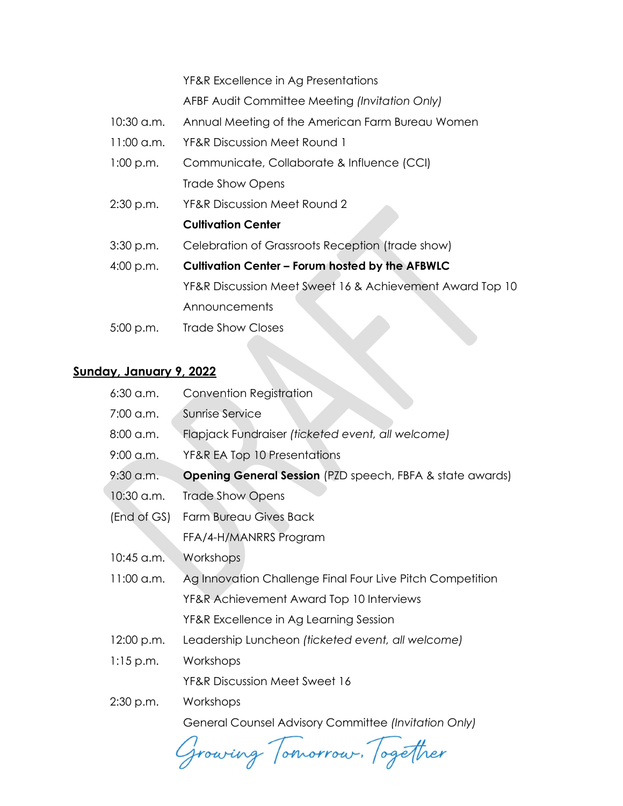YF&R Excellence in Ag Presentations

AFBF Audit Committee Meeting (Invitation Only)

- 10:30 a.m. Annual Meeting of the American Farm Bureau Women
- 11:00 a.m. YF&R Discussion Meet Round 1
- 1:00 p.m. Communicate, Collaborate & Influence (CCI) Trade Show Opens
- 2:30 p.m. YF&R Discussion Meet Round 2

#### Cultivation Center

- 3:30 p.m. Celebration of Grassroots Reception (trade show)
- 4:00 p.m. Cultivation Center Forum hosted by the AFBWLC YF&R Discussion Meet Sweet 16 & Achievement Award Top 10 **Announcements**
- 5:00 p.m. Trade Show Closes

## Sunday, January 9, 2022

| $6:30$ a.m.  | Convention Registration                                          |
|--------------|------------------------------------------------------------------|
| 7:00 a.m.    | Sunrise Service                                                  |
| $8:00$ a.m.  | Flapjack Fundraiser (ticketed event, all welcome)                |
| $9:00$ a.m.  | YF&R EA Top 10 Presentations                                     |
| $9:30$ a.m.  | <b>Opening General Session</b> (PZD speech, FBFA & state awards) |
| 10:30 a.m.   | <b>Trade Show Opens</b>                                          |
| (End of GS)  | <b>Farm Bureau Gives Back</b>                                    |
|              | FFA/4-H/MANRRS Program                                           |
| 10:45 a.m.   | Workshops                                                        |
| $11:00$ a.m. | Ag Innovation Challenge Final Four Live Pitch Competition        |
|              | YF&R Achievement Award Top 10 Interviews                         |
|              | YF&R Excellence in Ag Learning Session                           |
| 12:00 p.m.   | Leadership Luncheon (ticketed event, all welcome)                |
| $1:15$ p.m.  | Workshops                                                        |
|              | <b>YF&amp;R Discussion Meet Sweet 16</b>                         |
| $2:30$ p.m.  | Workshops                                                        |
|              | General Counsel Advisory Committee (Invitation Only)             |

growing Tomorrow. Together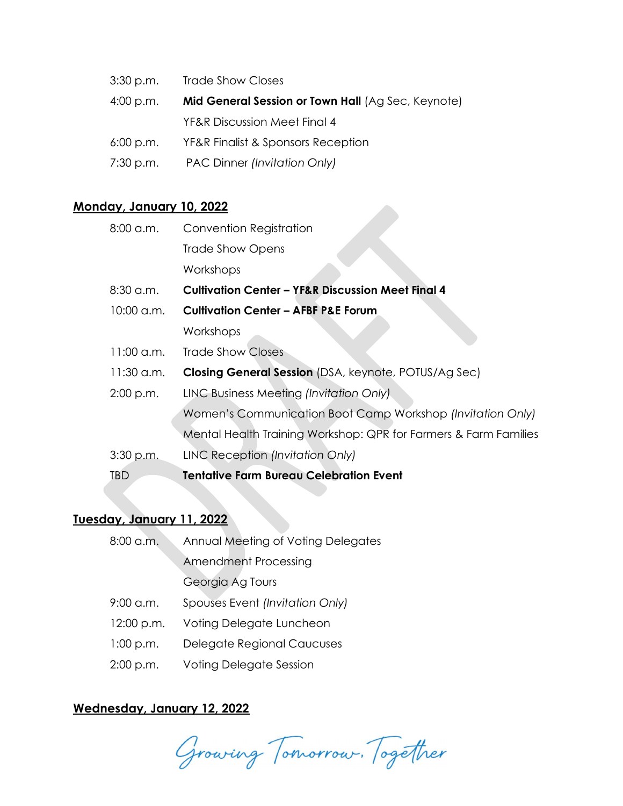- 3:30 p.m. Trade Show Closes
- 4:00 p.m. Mid General Session or Town Hall (Ag Sec, Keynote) YF&R Discussion Meet Final 4
- 6:00 p.m. YF&R Finalist & Sponsors Reception
- 7:30 p.m. PAC Dinner (Invitation Only)

## Monday, January 10, 2022

| <b>Convention Registration</b>                                                                       |
|------------------------------------------------------------------------------------------------------|
| <b>Trade Show Opens</b>                                                                              |
| Workshops                                                                                            |
| <b>Cultivation Center - YF&amp;R Discussion Meet Final 4</b>                                         |
| <b>Cultivation Center - AFBF P&amp;E Forum</b>                                                       |
| Workshops                                                                                            |
| <b>Trade Show Closes</b>                                                                             |
| <b>Closing General Session</b> (DSA, keynote, POTUS/Ag Sec)                                          |
| LINC Business Meeting (Invitation Only).                                                             |
| Women's Communication Boot Camp Workshop (Invitation Only)                                           |
| Mental Health Training Workshop: QPR for Farmers & Farm Families                                     |
| LINC Reception (Invitation Only)                                                                     |
| <b>Tentative Farm Bureau Celebration Event</b>                                                       |
| 8:00 a.m.<br>$8:30$ a.m.<br>10:00 a.m.<br>$11:00$ a.m.<br>$11:30$ a.m.<br>$2:00$ p.m.<br>$3:30$ p.m. |

# Tuesday, January 11, 2022

| $8:00$ a.m. | Annual Meeting of Voting Delegates |
|-------------|------------------------------------|
|             | <b>Amendment Processing</b>        |
|             | Georgia Ag Tours                   |
| $9:00$ a.m. | Spouses Event (Invitation Only)    |
| 12:00 p.m.  | Voting Delegate Luncheon           |
| 1:00 p.m.   | Delegate Regional Caucuses         |
| $2:00$ p.m. | <b>Voting Delegate Session</b>     |

## Wednesday, January 12, 2022

Growing Tomorrow. Together